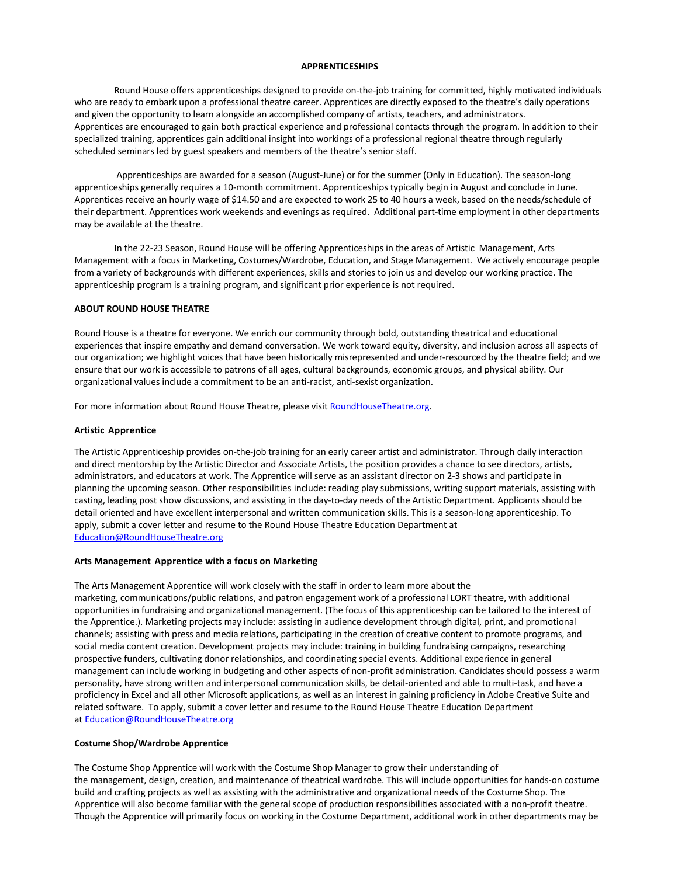#### **APPRENTICESHIPS**

Round House offers apprenticeships designed to provide on-the-job training for committed, highly motivated individuals who are ready to embark upon a professional theatre career. Apprentices are directly exposed to the theatre's daily operations and given the opportunity to learn alongside an accomplished company of artists, teachers, and administrators. Apprentices are encouraged to gain both practical experience and professional contacts through the program. In addition to their specialized training, apprentices gain additional insight into workings of a professional regional theatre through regularly scheduled seminars led by guest speakers and members of the theatre's senior staff.

Apprenticeships are awarded for a season (August-June) or for the summer (Only in Education). The season-long apprenticeships generally requires a 10-month commitment. Apprenticeships typically begin in August and conclude in June. Apprentices receive an hourly wage of \$14.50 and are expected to work 25 to 40 hours a week, based on the needs/schedule of their department. Apprentices work weekends and evenings as required. Additional part-time employment in other departments may be available at the theatre.

In the 22-23 Season, Round House will be offering Apprenticeships in the areas of Artistic Management, Arts Management with a focus in Marketing, Costumes/Wardrobe, Education, and Stage Management. We actively encourage people from a variety of backgrounds with different experiences, skills and stories to join us and develop our working practice. The apprenticeship program is a training program, and significant prior experience is not required.

# **ABOUT ROUND HOUSE THEATRE**

Round House is a theatre for everyone. We enrich our community through bold, outstanding theatrical and educational experiences that inspire empathy and demand conversation. We work toward equity, diversity, and inclusion across all aspects of our organization; we highlight voices that have been historically misrepresented and under-resourced by the theatre field; and we ensure that our work is accessible to patrons of all ages, cultural backgrounds, economic groups, and physical ability. Our organizational values include a commitment to be an anti-racist, anti-sexist organization.

For more information about Round House Theatre, please visit RoundHouseTheatre.org.

## **Artistic Apprentice**

The Artistic Apprenticeship provides on-the-job training for an early career artist and administrator. Through daily interaction and direct mentorship by the Artistic Director and Associate Artists, the position provides a chance to see directors, artists, administrators, and educators at work. The Apprentice will serve as an assistant director on 2-3 shows and participate in planning the upcoming season. Other responsibilities include: reading play submissions, writing support materials, assisting with casting, leading post show discussions, and assisting in the day-to-day needs of the Artistic Department. Applicants should be detail oriented and have excellent interpersonal and written communication skills. This is a season-long apprenticeship. To apply, submit a cover letter and resume to the Round House Theatre Education Department at Education@RoundHouseTheatre.org

### **Arts Management Apprentice with a focus on Marketing**

The Arts Management Apprentice will work closely with the staff in order to learn more about the marketing, communications/public relations, and patron engagement work of a professional LORT theatre, with additional opportunities in fundraising and organizational management. (The focus of this apprenticeship can be tailored to the interest of the Apprentice.). Marketing projects may include: assisting in audience development through digital, print, and promotional channels; assisting with press and media relations, participating in the creation of creative content to promote programs, and social media content creation. Development projects may include: training in building fundraising campaigns, researching prospective funders, cultivating donor relationships, and coordinating special events. Additional experience in general management can include working in budgeting and other aspects of non-profit administration. Candidates should possess a warm personality, have strong written and interpersonal communication skills, be detail-oriented and able to multi-task, and have a proficiency in Excel and all other Microsoft applications, as well as an interest in gaining proficiency in Adobe Creative Suite and related software. To apply, submit a cover letter and resume to the Round House Theatre Education Department at Education@RoundHouseTheatre.org

### **Costume Shop/Wardrobe Apprentice**

The Costume Shop Apprentice will work with the Costume Shop Manager to grow their understanding of the management, design, creation, and maintenance of theatrical wardrobe. This will include opportunities for hands-on costume build and crafting projects as well as assisting with the administrative and organizational needs of the Costume Shop. The Apprentice will also become familiar with the general scope of production responsibilities associated with a non-profit theatre. Though the Apprentice will primarily focus on working in the Costume Department, additional work in other departments may be